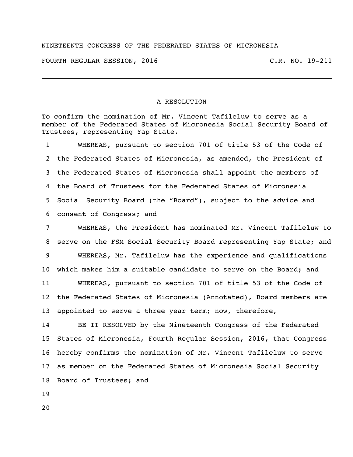## NINETEENTH CONGRESS OF THE FEDERATED STATES OF MICRONESIA

FOURTH REGULAR SESSION, 2016 C.R. NO. 19-211

## A RESOLUTION

To confirm the nomination of Mr. Vincent Tafileluw to serve as a member of the Federated States of Micronesia Social Security Board of Trustees, representing Yap State.

 WHEREAS, pursuant to section 701 of title 53 of the Code of the Federated States of Micronesia, as amended, the President of the Federated States of Micronesia shall appoint the members of the Board of Trustees for the Federated States of Micronesia Social Security Board (the "Board"), subject to the advice and consent of Congress; and

 WHEREAS, the President has nominated Mr. Vincent Tafileluw to serve on the FSM Social Security Board representing Yap State; and WHEREAS, Mr. Tafileluw has the experience and qualifications which makes him a suitable candidate to serve on the Board; and WHEREAS, pursuant to section 701 of title 53 of the Code of the Federated States of Micronesia (Annotated), Board members are appointed to serve a three year term; now, therefore,

 BE IT RESOLVED by the Nineteenth Congress of the Federated States of Micronesia, Fourth Regular Session, 2016, that Congress hereby confirms the nomination of Mr. Vincent Tafileluw to serve as member on the Federated States of Micronesia Social Security Board of Trustees; and